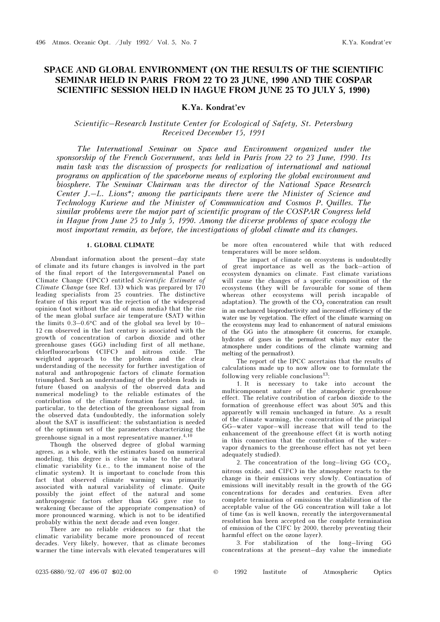# SPACE AND GLOBAL ENVIRONMENT (ON THE RESULTS OF THE SCIENTIFIC SEMINAR HELD IN PARIS FROM 22 TO 23 JUNE, 1990 AND THE COSPAR SCIENTIFIC SESSION HELD IN HAGUE FROM JUNE 25 TO JULY 5, 1990)

K.Ya. Kondrat'ev

## Scientific–Research Institute Center for Ecological of Safety, St. Petersburg Received December 15, 1991

The International Seminar on Space and Environment organized under the sponsorship of the French Government, was held in Paris from 22 to 23 June, 1990. Its main task was the discussion of prospects for realization of international and national programs on application of the spaceborne means of exploring the global environment and biosphere. The Seminar Chairman was the director of the National Space Research Center J.–L. Lions\*; among the participants there were the Minister of Science and Technology Kuriene and the Minister of Communication and Cosmos P. Quilles. The similar problems were the major part of scientific program of the COSPAR Congress held in Hague from June 25 to July 5, 1990. Among the diverse problems of space ecology the most important remain, as before, the investigations of global climate and its changes.

#### 1. GLOBAL CLIMATE

Abundant information about the present–day state of climate and its future changes is involved in the part of the final report of the Intergovernmental Panel on Climate Change (IPCC) entitled Scientific Estimate of Climate Change (see Ref. 13) which was prepared by 170 leading specialists from 25 countries. The distinctive feature of this report was the rejection of the widespread opinion (not without the aid of mass media) that the rise of the mean global surface air temperature (SAT) within the limits 0.3–0.6°C and of the global sea level by 10– 12 cm observed in the last century is associated with the growth of concentration of carbon dioxide and other greenhouse gases (GG) including first of all methane, chlorfluorocarbons (ClFC) and nitrous oxide. The weighted approach to the problem and the clear understanding of the necessity for further investigation of natural and anthropogenic factors of climate formation triumphed. Such an understanding of the problem leads in future (based on analysis of the observed data and numerical modeling) to the reliable estimates of the contribution of the climate formation factors and, in particular, to the detection of the greenhouse signal from the observed data (undoubtedly, the information solely about the SAT is insufficient: the substantiation is needed of the optimum set of the parameters characterizing the greenhouse signal in a most representative manner.<sup>4,10</sup>

Though the observed degree of global warming agrees, as a whole, with the estimates based on numerical modeling, this degree is close in value to the natural climatic variability (i.e., to the immanent noise of the climatic system). It is important to conclude from this fact that observed climate warming was primarily associated with natural variability of climate. Quite possibly the joint effect of the natural and some anthropogenic factors other than GG gave rise to weakening (because of the appropriate compensation) of more pronounced warming, which is not to be identified probably within the next decade and even longer.

There are no reliable evidences so far that the climatic variability became more pronounced of recent decades. Very likely, however, that as climate becomes warmer the time intervals with elevated temperatures will be more often encountered while that with reduced temperatures will be more seldom.

The impact of climate on ecosystems is undoubtedly of great importance as well as the back–action of ecosystem dynamics on climate. Fast climate variations will cause the changes of a specific composition of the ecosystems (they will be favourable for some of them whereas other ecosystems will perish incapable of adaptation). The growth of the  $CO<sub>2</sub>$  concentration can result in an enchanced bioproductivity and increased efficiency of the water use by vegetation. The effect of the climate warming on the ecosystems may lead to enhancement of natural emissions of the GG into the atmosphere (it concerns, for example, hydrates of gases in the permafrost which may enter the atmosphere under conditions of the climate warming and melting of the permafrost).

The report of the IPCC ascertains that the results of calculations made up to now allow one to formulate the following very reliable conclusions<sup>13</sup>:

1. It is necessary to take into account the multicomponent nature of the atmospheric greenhouse effect. The relative contribution of carbon dioxide to the formation of greenhouse effect was about 50% and this apparently will remain unchanged in future. As a result of the climate warming, the concentration of the principal GG–water vapor–will increase that will tend to the enhancement of the greenhouse effect (it is worth noting in this connection that the contribution of the water– vapor dynamics to the greenhouse effect has not yet been adequately studied).

2. The concentration of the long–living GG  $(CO<sub>2</sub>)$ , nitrous oxide, and ClFC) in the atmosphere reacts to the change in their emissions very slowly. Continuation of emissions will inevitably result in the growth of the GG concentrations for decades and centuries. Even after complete termination of emissions the stabilization of the acceptable value of the GG concentration will take a lot of time (as is well known, recently the intergovernmental resolution has been accepted on the complete termination of emission of the ClFC by 2000, thereby preventing their harmful effect on the ozone layer).

3. For stabilization of the long–living GG concentrations at the present–day value the immediate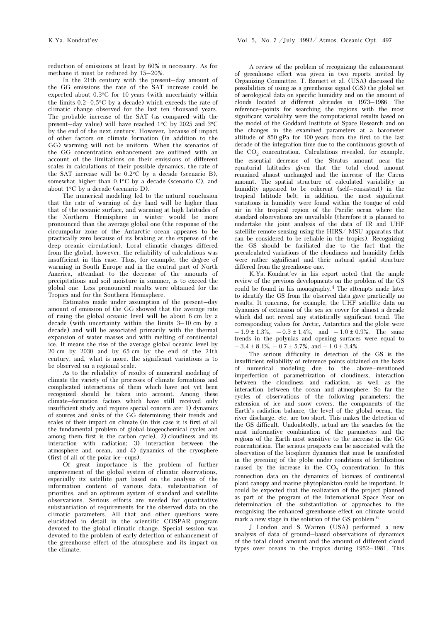reduction of emissions at least by 60% is necessary. As for methane it must be reduced by 15–20%.

In the 21th century with the present–day amount of the GG emissions the rate of the SAT increase could be expected about 0.3°C for 10 years (with uncertainty within the limits 0.2–0.5°C by a decade) which exceeds the rate of climatic change observed for the last ten thousand years. The probable increase of the SAT (as compared with the present–day value) will have reached 1°C by 2025 and 3°C by the end of the next century. However, because of impact of other factors on climate formation (in addition to the GG) warming will not be uniform. When the scenarios of the GG concentration enhancement are outlined with an account of the limitations on their emissions of different scales in calculations of their possible dynamics, the rate of the SAT increase will be 0.2°C by a decade (scenario B), somewhat higher than 0.1°C by a decade (scenario C), and about 1°C by a decade (scenario D).

The numerical modeling led to the natural conclusion that the rate of warning of dry land will be higher than that of the oceanic surface, and warming at high latitudes of the Northern Hemisphere in winter would be more pronounced than the average global one (the response of the circumpolar zone of the Antarctic ocean appeares to be practically zero because of its braking at the expense of the deep oceanic circulation). Local climatic changes differed from the global, however, the reliability of calculations was insufficient in this case. Thus, for example, the degree of warming in South Europe and in the central part of North America, attendant to the decrease of the amounts of precipitations and soil moisture in summer, is to exceed the global one. Less pronounced results were obtained for the Tropics and for the Southern Hemisphere.

Estimates made under assumption of the present–day amount of emission of the GG showed that the average rate of rising the global oceanic level will be about 6 cm by a decade (with uncertainty within the limits 3–10 cm by a decade) and will be associated primarily with the thermal expansion of water masses and with melting of continental ice. It means the rise of the average global oceanic level by 20 cm by 2030 and by 65 cm by the end of the 21th century, and, what is more, the significant variations is to be observed on a regional scale.

As to the reliability of results of numerical modeling of climate the variety of the processes of climate formations and complicated interactions of them which have not yet been recognized should be taken into account. Among these climate–formation factors which have still received only insufficient study and require special concern are: 1) dynamics of sources and sinks of the GG determining their trends and scales of their impact on climate (in this case it is first of all the fundamental problem of global biogeochemical cycles and among them first is the carbon cycle), 2) cloudiness and its interaction with radiation; 3) interaction between the atmosphere and ocean, and 4) dynamics of the cryosphere (first of all of the polar ice–cups).

Of great importance is the problem of further improvement of the global system of climatic observations, especially its satellite part based on the analysis of the information content of various data, substantiation of priorities, and an optimum system of standard and satellite observations. Serious efforts are needed for quantitative substantiation of requirements for the observed data on the climatic parameters. All that and other questions were elucidated in detail in the scientific COSPAR program devoted to the global climatic change. Special session was devoted to the problem of early detection of enhancement of the greenhouse effect of the atmosphere and its impact on the climate.

A review of the problem of recognizing the enhancement of greenhouse effect was given in two reports invited by Organizing Committee. T. Barnett et al. (USA) discussed the possibilities of using as a greenhouse signal (GS) the global set of aerological data on specific humidity and on the amount of clouds located at different altitudes in 1973–1986. The reference–points for searching the regions with the most significant variability were the computational results based on the model of the Goddard Institute of Space Research and on the changes in the examined parameters at a barometer altitude of 850 gPa for 100 years from the first to the last decade of the integration time due to the continuous growth of the CO<sub>2</sub> concentration. Calculations revealed, for example, the essential decrease of the Stratus amount near the equatorial latitudes given that the total cloud amount remained almost unchanged and the increase of the Cirrus amount. The spatial structure of calculated variability in humidity appeared to be coherent (self–consistent) in the tropical latitude belt; in addition, the most significant variations in humidity were found within the tongue of cold air in the tropical region of the Pacific ocean where the standard observations are unvailable (therefore it is planned to undertake the joint analysis of the data of IR and UHF satellite remote sensing using the HIRS/ MSU apparatus that can be considered to be reliable in the tropics). Recognizing the GS should be faciliated due to the fact that the precalculated variations of the cloudiness and humidity fields were rather significant and their natural spatial structure differed from the greenhouse one.

K.Ya. Kondrat'ev in his report noted that the ample review of the previous developments on the problem of the GS could be found in his monography.4 The attempts made later to identify the GS from the observed data gave practically no results. It concerns, for example, the UHF satellite data on dynamics of extension of the sea ice cover for almost a decade which did not reveal any statistically significant trend. The corresponding values for Arctic, Antarctica and the globe were  $-1.9 \pm 1.3\%$ ,  $-0.3 \pm 1.4\%$ , and  $-1.0 \pm 0.9\%$ . The same trends in the polynias and opening surfaces were equal to  $-3.4 \pm 8.1\%$ ,  $-0.7 \pm 5.7\%$ , and  $-1.0 \pm 3.4\%$ .

The serious difficulty in detection of the GS is the insufficient reliability of reference points obtained on the basis of numerical modeling due to the above–mentioned imperfection of parametrization of cloudiness, interaction between the cloudiness and radiation, as well as the interaction between the ocean and atmosphere. So far the cycles of observations of the following parameters: the extension of ice and snow covers, the components of the Earth's radiation balance, the level of the global ocean, the river discharge, etc. are too short. This makes the detection of the GS difficult. Undoubtedly, actual are the searches for the most informative combination of the parameters and the regions of the Earth most sensitive to the increase in the GG concentration. The serious prospects can be associated with the observation of the biosphere dynamics that must be manifested in the greening of the globe under conditions of fertilization caused by the increase in the  $CO<sub>2</sub>$  concentration. In this connection data on the dynamics of biomass of continental plant canopy and marine phytoplankton could be important. It could be expected that the realization of the project planned as part of the program of the International Space Year on determination of the substantiation of approaches to the recognising the enhanced greenhouse effect on climate would mark a new stage in the solution of the GS problem.<sup>6</sup>

J. London and S. Warren (USA) performed a new analysis of data of ground–based observations of dynamics of the total cloud amount and the amount of different cloud types over oceans in the tropics during 1952–1981. This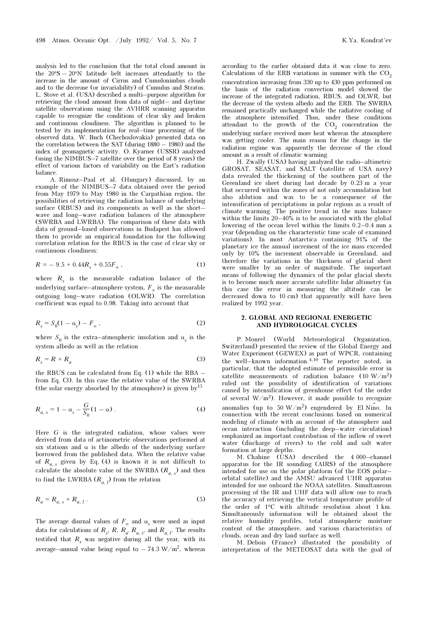analysis led to the conclusion that the total cloud amount in the 20°S – 20°N latitude belt increases attendantly to the increase in the amount of Cirrus and Cumulonimbus clouds and to the decrease (or invariability) of Cumulus and Stratus. L. Stove et al. (USA) described a multi–purpose algorithm for retrieving the cloud amount from data of night– and daytime satellite observations using the AVHRR scanning apparatus capable to recognize the conditions of clear sky and broken and continuous cloudiness. The algorithm is planned to be tested by its implementation for real–time processing of the observed data. W. Buch (Chechoslovakia) presented data on the correlation between the SAT (during 1880 – 1980) and the index of geomagnetic activity. O. Kyarner (USSR) analyzed (using the NIMBUS–7 satellite over the period of 8 years) the effect of various factors of variability on the Eart's radiation balance.

A. Rimosz–Paal et al. (Hungary) discussed, by an example of the NIMBUS–7 data obtained over the period from May 1979 to May 1980 in the Carpathian region, the possibilities of retrieving the radiation balance of underlying surface (RBUS) and its components as well as the shortwave and long–wave radiation balances of the atmosphere (SWRBA and LWRBA). The comparison of these data with data of ground–based observations in Budapest has allowed them to provide an empirical foundation for the following correlation relation for the RBUS in the case of clear sky or continuous cloudiness:

$$
R = -9.5 + 0.44R_s + 0.55F_\infty , \qquad (1)
$$

where  $R<sub>s</sub>$  is the measurable radiation balance of the underlying surface—atmosphere system,  $F_{\infty}$  is the measurable outgoing long–wave radiation (OLWR). The correlation coefficient was equal to 0.98. Taking into account that

$$
R_s = S_0(1 - \alpha_s) - F_\infty \,,\tag{2}
$$

where  $S_0$  is the extra-atmospheric insolation and  $\alpha_s$  is the system albedo as well as the relation

$$
R_s = R + R_a \tag{3}
$$

the RBUS can be calculated from Eq. (1) while the RBA – from Eq. (3). In this case the relative value of the SWRBA (the solar energy absorbed by the atmosphere) is given by<sup>15</sup>

$$
R_{a, s} = 1 - \alpha_s - \frac{G}{S_0} (1 - \alpha) \tag{4}
$$

Here G is the integrated radiation, whose values were derived from data of actinometric observations performed at six stations and  $\alpha$  is the albedo of the underlying surface borrowed from the published data. When the relative value of  $R_{a, s}$  given by Eq. (4) is known it is not difficult to calculate the absolute value of the SWRBA  $(R_{a,\,s})$  and then to find the LWRBA  $(R_{a, l})$  from the relation

$$
R_a = R_{a, s} + R_{a, l} \tag{5}
$$

The average diurnal values of  $F_{\infty}$  and  $\alpha_{s}$  were used as input data for calculations of  $R_s$ ,  $R$ ,  $R_a$ ,  $R_{a,s}$ , and  $R_{a, l}$ . The results testified that  $R_s$  was negative during all the year, with its average–annual value being equal to  $-74.3 \text{ W/m}^2$ , whereas

according to the earlier obtained data it was close to zero. Calculations of the ERB variations in summer with the  $CO<sub>2</sub>$ concentration increasing from 330 up to 430 ppm performed on the basis of the radiation convection model showed the increase of the integrated radiation, RBUS, and OLWR, but the decrease of the system albedo and the ERB. The SWRBA remained practically unchanged while the radiative cooling of the atmosphere intensified. Thus, under these conditions attendant to the growth of the  $CO<sub>2</sub>$  concentration the underlying surface received more heat whereas the atmosphere was getting cooler. The main reason for the change in the radiation regime was apparently the decrease of the cloud amount as a result of climatic warming.

H. Zwally (USA) having analyzed the radio–altimetric GROSAT, SEASAT, and SALT (satellite of USA navy) data revealed the thickening of the southern part of the Greenland ice sheet during last decade by 0.23 m a year that occurred within the zones of not only accumulation but also ablution and was to be a consequence of the intensification of perciptations in polar regions as a result of climate warming. The positive trend in the mass balance within the limits  $20-40\%$  is to be associated with the global lowering of the ocean level within the limits 0.2–0.4 mm a year (depending on the characteristic time scale of examined variations). In most Antarctica containing 91% of the planetary ice the annual increment of the ice mass exceeded only by 10% the increment observable in Greenland, and therefore the variations in the thickness of glacial sheet were smaller by an order of magnitude. The important means of following the dynamics of the polar glacial sheets is to become much more accurate satellite lidar altimetry (in this case the error in measuring the altitude can be decreased down to 10 cm) that apparently will have been realized by 1992 year.

## 2. GLOBAL AND REGIONAL ENERGETIC AND HYDROLOGICAL CYCLES

P. Monrel (World Meteorological Organization, Switzerland) presented the review of the Global Energy and Water Experiment (GEWEX) as part of WPCR, containing the well–known information.4,10 The reporter noted, in particular, that the adopted estimate of permissible error in satellite measurements of radiation balance  $(10 \text{ W/m}^2)$ ruled out the possibility of identification of variations caused by intensification of greenhouse effect (of the order of several  $W/m^2$ ). However, it made possible to recognize anomalies (up to 50 W/m<sup>2</sup>) engendered by El Nino. In connection with the recent conclusions based on numerical modeling of climate with an account of the atmosphere and ocean interaction (including the deep–water circulation) emphasized an important contribution of the inflow of sweet water (discharge of rivers) to the cold and salt water formation at large depths.

M. Chahine (USA) described the 4 000–channel apparatus for the IR sounding (AIRS) of the atmosphere intended for use on the polar platform (of the EOS polar– orbital satellite) and the AMSU advanced UHR apparatus intended for use onboard the NOAA satellites. Simultaneous processing of the IR and UHF data will allow one to reach the accuracy of retrieving the vertical temperature profile of the order of 1°C with altitude resolution about 1 km. Simultaneously information will be obtained about the relative humidity profiles, total atmospheric moisture content of the atmosphere, and various characteristics of clouds, ocean and dry land surface as well.

M. Debois (France) illustrated the possibility of interpretation of the METEOSAT data with the goal of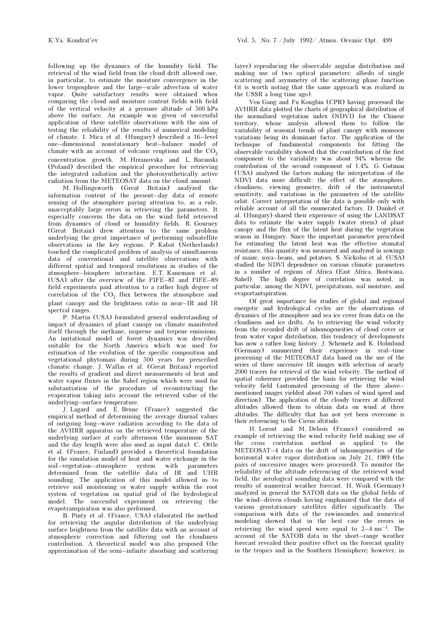following up the dynamics of the humidity field. The retrieval of the wind field from the cloud drift allowed one, in particular, to estimate the moisture convergence in the lower troposphere and the large–scale advection of water vapor. Quite satisfactory results were obtained when comparing the cloud and moisture content fields with field of the vertical velocity at a pressure altitude of 500 hPa above the surface. An example was given of successful application of these satellite observations with the aim of testing the reliability of the results of numerical modeling of climate. I. Mica et al. (Hungary) described a 16–level one–dimensional nonstationary heat–balance model of climate with an account of volcanic eruptions and the  $CO<sub>2</sub>$ concentration growth. M. Hrzanovska and L. Baranski (Poland) described the empirical procedure for retrieving the integrated radiation and the photosynthetically active radiation from the METEOSAT data on the cloud amount.

M. Hollingsworth (Great Britain) analyzed the information content of the present–day data of remote sensing of the atmosphere paying attention to, as a rule, unacceptably large errors in retrieving the parameters. It especially concerns the data on the wind field retrieved from dynamics of cloud or humidity fields. R. Gourney (Great Britain) drew attention to the same problem underlying the great importance of performing subsatellite observations in the key regions. P. Kabat (Netherlands) touched the complicated problem of analysis of simultaneous data of conventional and satellite observations with different spatial and temporal resolutions in studies of the atmosphere–biosphere interaction. E.T. Kanemasu et al. (USA) after the overview of the FIFE–87 and FIFE–89 field experiments paid attention to a rather high degree of correlation of the  $CO<sub>2</sub>$  flux between the atmosphere and plant canopy and the brightness ratio in near–IR and IR spectral ranges.

P. Martin (USA) formulated general understanding of impact of dynamics of plant canopy on climate manifested itself through the methane, isoprene and terpene emissions. An imitational model of forest dynamics was described suitable for the North America which was used for estimation of the evolution of the specific composition and vegetational phytomass during 500 years for prescribed climatic change. J. Wallas et al. (Great Britain) reported the results of gradient and direct measurements of heat and water vapor fluxes in the Sahel region which were used for substantiation of the procedure of reconstructing the evaporation taking into account the retrieved value of the underlying–surface temperature.

J. Lagard and E. Brune (France) suggested the empirical method of determining the average diurnal values of outgoing long–wave radiation according to the data of the AVHRR apparatus on the retrieved temperature of the underlying surface at early afternoon (the minimum SAT and the day length were also used as input data). C. Ottle et al. (France, Finland) provided a theoretical foundation for the simulation model of heat and water exchange in the soil–vegetation–atmosphere system with parameters determined from the satellite data of IR and UHR sounding. The application of this model allowed us to retrieve soil moistening or water supply within the root system of vegetation on spatial grid of the hydrological model. The successful experiment on retrieving the evapotranspiration was also performed.

B. Pinty et al. (France, USA) elaborated the method for retrieving the angular distribution of the underlying surface brightness from the satellite data with an account of atmospheric correction and filtering out the cloudiness contribution. A theoretical model was also proposed (the approximation of the semi–infinite absorbing and scattering layer) reproducing the observable angular distribution and making use of two optical parameters: albedo of single scattering and asymmetry of the scattering phase function (it is worth noting that the same approach was realized in the USSR a long time ago).

Ven Gang and Fu Kongbin (CPR) having processed the AVHRR data plotted the charts of geographical distribution of the normalized vegetation index (NDVI) for the Chinese territory, whose analysis allowed them to follow the variability of seasonal trends of plant canopy with monsoon variations being its dominant factor. The application of the technique of fundamental components for fitting the observable variability showed that the contribution of the first component to the variability was about 94% whereas the contribution of the second component of 1.4%. G. Gutman (USA) analyzed the factors making the interpretation of the NDVI data more difficult: the effect of the atmosphere, cloudiness, viewing geometry, drift of the instrumental sensitivity, and variations in the parameters of the satellite orbit. Correct interpretation of the data is possible only with reliable account of all the enumerated factors. D. Dunkel et al. (Hungary) shared their experience of using the LANDSAT data to estimate the water supply (water stress) of plant canopy and the flux of the latent heat during the vegetation season in Hungary. Since the important parameter prescribed for estimating the latent heat was the effective stomatal resistance, this quantity was measured and analyzed in sowings of maize, soya–beans, and potatoes. S. Nickolso et al. (USA) studied the NDVI dependence on various climatic parameters in a number of regions of Africa (East Africa, Bostwana, Sahel). The high degree of correlation was noted, in particular, among the NDVI, precipitations, soil moisture, and evaportantspiration.

Of great importance for studies of global and regional energetic and hydrological cycles are the observations of dynamics of the atmosphere and sea ice cover from data on the cloudiness and ice drifts. As to retrieving the wind velocity from the recorded drift of inhomogeneities of cloud cover or from water vapor distribution, this tendency of developments has now a rather long history. J. Schemetz and K. Holmlund (Germany) summerized their experience in real–time processing of the METEOSAT data based on the use of the series of three successive IR images with selection of nearly 2000 tracers for retrieval of the wind velocity. The method of spatial coherence provided the basis for retrieving the wind velocity field (automated processing of the three above– mentioned images yielded about 700 values of wind speed and direction). The application of the cloudy tracers at different altitudes allowed them to obtain data on wind at three altitudes. The difficulty that has not yet been overcome is their referencing to the Cirrus altitude.

H. Lorent and M. Debois (France) considered an example of retrieving the wind velocity field making use of the cross correlation method as applied to the METEOSAT–4 data on the drift of inhomogeneities of the horizontal water vapor distribution on July 21, 1989 (the pairs of successive images were processed). To monitor the reliability of the altitude referencing of the retrieved wind field, the aerological sounding data were compared with the results of numerical weather forecast. H. Woik (Germany) analyzed in general the SATOB data on the global fields of the wind–driven clouds having emphasized that the data of various geostationary satellites differ significantly. The comparison with data of the rawinsondes and numerical modeling showed that in the best case the errors in retrieving the wind speed were equal to  $2-4$  ms<sup>-1</sup>. The account of the SATOB data in the short–range weather forecast revealed their positive effect on the forecast quality in the tropics and in the Southern Hemisphere; however, in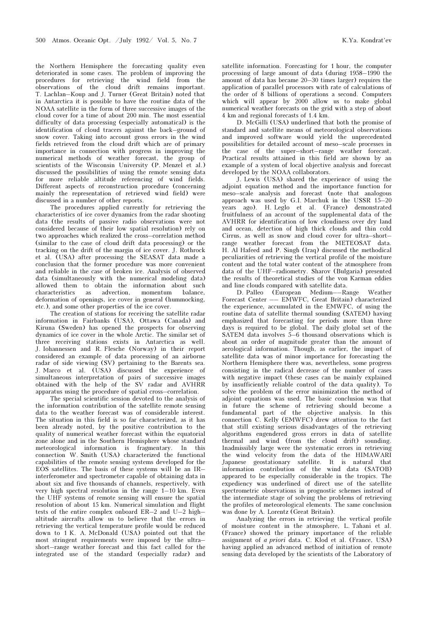the Northern Hemisphere the forecasting quality even deteriorated in some cases. The problem of improving the procedures for retrieving the wind field from the observations of the cloud drift remains important. T. Lachlan–Koup and J. Turner (Great Britain) noted that in Antarctica it is possible to have the routine data of the NOAA satellite in the form of three successive images of the cloud cover for a time of about 200 min. The most essential difficulty of data processing (especially automatical) is the identification of cloud tracers against the back–ground of snow cover. Taking into account gross errors in the wind fields retrieved from the cloud drift which are of primary importance in connection with progress in improving the numerical methods of weather forecast, the group of scientists of the Wisconsin University (P. Menzel et al.) discussed the possibilities of using the remote sensing data for more reliable altitude referencing of wind fields. Different aspects of reconstruction procedure (concerning mainly the representation of retrieved wind field) were discussed in a number of other reports.

The procedures applied currently for retrieving the characteristics of ice cover dynamics from the radar shooting data (the results of passive radio observations were not considered because of their low spatial resolution) rely on two approaches which realized the cross–correlation method (similar to the case of cloud drift data processing) or the tracking on the drift of the margin of ice cover. J. Rothrock et al. (USA) after processing the SEASAT data made a conclusion that the former procedure was more convenient and reliable in the case of broken ice. Analysis of observed data (simultaneously with the numerical modeling data) allowed them to obtain the information about such characteristics as advection, momentum balance, deformation of openings, ice cover in general (hummocking, etc.), and some other properties of the ice cover.

The creation of stations for receiving the satellite radar information in Fairbanks (USA), Ottawa (Canada) and Kiruna (Sweden) has opened the prospects for observing dynamics of ice cover in the whole Arctic. The similar set of three receiving stations exists in Antarctica as well. J. Iohannessen and R. Flesche (Norway) in their report considered an example of data processing of an airborne radar of side viewing (SV) pertaining to the Barents sea. J. Marco et al. (USA) discussed the experience of simultaneous interpretation of pairs of successive images obtained with the help of the SV radar and AVHRR apparatus using the procedure of spatial cross–correlation.

The special scientific session devoted to the analysis of the information contribution of the satellite remote sensing data to the weather forecast was of considerable interest. The situation in this field is so far characterized, as it has been already noted, by the positive contribution to the quality of numerical weather forecast within the equatorial zone alone and in the Southern Hemisphere whose standard meteorological information is fragmentary. In this connection W. Smith (USA) characterized the functional capabilities of the remote sensing systems developed for the EOS satellites. The basis of these systems will be an IR– interferometer and spectrometer capable of obtaining data in about six and five thousands of channels, respectively, with very high spectral resolution in the range 1–10 km. Even the UHF systems of remote sensing will ensure the spatial resolution of about 15 km. Numerical simulation and flight tests of the entire complex onboard ER–2 and U–2 high– altitude aircrafts allow us to believe that the errors in retrieving the vertical temperature profile would be reduced down to 1 K. A. McDonald (USA) pointed out that the most stringent requirements were imposed by the ultra– short–range weather forecast and this fact called for the integrated use of the standard (especially radar) and

satellite information. Forecasting for 1 hour, the computer processing of large amount of data (during 1958–1990 the amount of data has became 20–30 times larger) requires the application of parallel processors with rate of calculations of the order of 8 billions of operations a second. Computers which will appear by 2000 allow us to make global numerical weather forecasts on the grid with a step of about 4 km and regional forecasts of 1.4 km.

D. McGilli (USA) underlined that both the promise of standard and satellite means of meteorological observations and improved software would yield the unprecedented possibilities for detailed account of meso–scale processes in the case of the super–short–range weather forecast. Practical results attained in this field are shown by an example of a system of local objective analysis and forecast developed by the NOAA collaborators.

J. Lewis (USA) shared the experience of using the adjoint equation method and the importance function for meso–scale analysis and forecast (note that analogous approach was used by G.I. Marchuk in the USSR 15–20 years ago). H. Leglo et al. (France) demonstrated fruitfulness of an account of the supplemental data of the AVHRR for identification of low cloudiness over dry land and ocean, detection of high thick clouds and thin cold Cirrus, as well as snow and cloud cover for ultra–short– range weather forecast from the METEOSAT data. H. Al Hafeed and P. Singh (Iraq) discussed the methodical peculiarities of retrieving the vertical profile of the moisture content and the total water content of the atmosphere from data of the UHF–radiometry. Sharov (Bulgaria) presented the results of theoretical studies of the von Karman eddies and line clouds compared with satellite data.

D. Palleo (European Medium––Range Weather Forecast Center –– EMWFC, Great Britain) characterized the experience, accumulated in the EMWFC, of using the routine data of satellite thermal sounding (SATEM) having emphasized that forecasting for periods more than three days is required to be global. The daily global set of the SATEM data involves 5–6 thousand observations which is about an order of magnitude greater than the amount of aerological information. Though, as earlier, the impact of satellite data was of minor importance for forecasting the Northern Hemisphere there was, nevertheless, some progress consisting in the radical decrease of the number of cases with negative impact (these cases can be mainly explained by insufficiently reliable control of the data quality). To solve the problem of the error minimization the method of adjoint equations was used. The basic conclusion was that in future the scheme of retrieving should become a fundamental part of the objective analysis. In this connection C. Kelly (EMWFC) drew attention to the fact that still existing serious disadvantages of the retrieving algorithms engendered gross errors in data of satellite thermal and wind (from the cloud drift) sounding. Inadmissibly large were the systematic errors in retrieving the wind velocity from the data of the HIMAWARI Japanese geostationary satellite. It is natural that information contribution of the wind data (SATOB) appeared to be especially considerable in the tropics. The expediency was underlined of direct use of the satellite spectrometric observations in prognostic schemes instead of the intermediate stage of solving the problems of retrieving the profiles of meteorological elements. The same conclusion was done by A. Lorentz (Great Britain).

Analyzing the errors in retrieving the vertical profile of moisture content in the atmosphere, L. Tahani et al. (France) showed the primary importance of the reliable assignment of a priori data. C. Klod et al. (France, USA) having applied an advanced method of initiation of remote sensing data developed by the scientists of the Laboratory of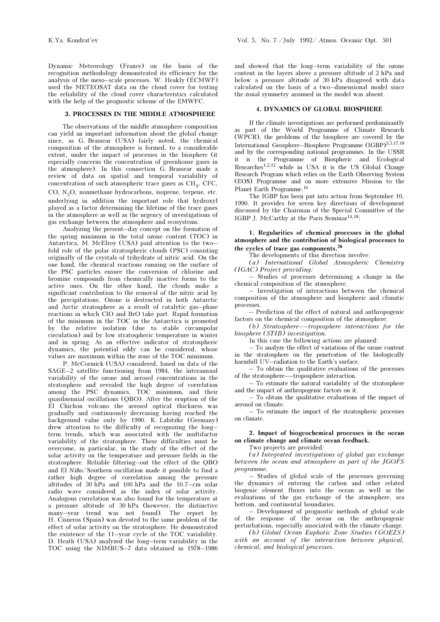Dynamic Meteorology (France) on the basis of the recognition methodology demonstrated its efficiency for the analysis of the meso–scale processes. W. Heakly (ECMWF) used the METEOSAT data on the cloud cover for testing the reliability of the cloud cover characteristics calculated with the help of the prognostic scheme of the EMWFC.

#### 3. PROCESSES IN THE MIDDLE ATMOSPHERE

The observations of the middle atmosphere composition can yield an important information about the global change since, as G. Brassear (USA) fairly noted, the chemical composition of the atmosphere is formed, to a considerable extent, under the impact of processes in the biosphere (it especially concerns the concentration of greenhouse gases in the atmosphere). In this connection G. Brassear made a review of data on spatial and temporal variability of concentration of such atmospheric trace gases as  $CH<sub>A</sub>$ , CFC, CO,  $N<sub>2</sub>O$ , nonmethane hydrocarbons, isoprene, terpene, etc. underlying in addition the important role that hydroxyl played as a factor determining the lifetime of the trace gases in the atmosphere as well as the urgency of investigations of gas exchange between the atmosphere and ecosystems.

Analyzing the present–day concept on the formation of the spring minimum in the total ozone content (TOC) in Antarctica, M. McElroy (USA) paid attention to the two– fold role of the polar stratospheric clouds (PSC) consisting originally of the crystals of trihydrate of nitric acid. On the one hand, the chemical reactions running on the surface of the PSC particles ensure the conversion of chlorine and bromine compounds from chemically inactive forms to the active ones. On the other hand, the clouds make a significant contribution to the removal of the nitric acid by the precipitations. Ozone is destructed in both Antarctic and Arctic stratosphere as a result of catalytic gas–phase reactions in which ClO and BrO take part. Rapid formation of the minimum in the TOC in the Antarctica is promoted by the relative isolation (due to stable circumpolar circulation) and by low stratospheric temperature in winter and in spring. As an effective indicator of stratospheric dynamics, the potential eddy can be considered, whose values are maximum within the zone of the TOC minimum.

P. McCormick (USA) considered, based on data of the SAGE–2 satellite functioning from 1984, the interannual variability of the ozone and aerosol concentrations in the stratosphere and revealed the high degree of correlation among the PSC dynamics, TOC minimum, and their quasibiennial oscillations (QBO). After the eruption of the El Chichon volcano the aerosol optical thickness was gradually and continuously decreasing having reached the background value only by 1990. K. Labitzke (Germany) drew attention to the difficulty of recognizing the long– term trends, which was associated with the multifactor variability of the stratosphere. These difficulties must be overcome, in particular, in the study of the effect of the solar activity on the temperature and pressure fields in the stratosphere. Reliable filtering–out the effect of the QBO and El Niño/Southern oscillation made it possible to find a rather high degree of correlation among the pressure altitudes of 30 hPa and 100 hPa and the 10.7–cm solar radio wave considered as the index of solar activity. Analogous correlation was also found for the temperature at a pressure altitude of 30 hPa (however, the distinctive many–year trend was not found). The report by H. Cisneros (Spain) was devoted to the same problem of the effect of solar activity on the stratosphere. He demonstrated the existence of the 11–year cycle of the TOC variability. D. Heath (USA) analyzed the long–term variability in the TOC using the NIMBUS–7 data obtained in 1978–1986 and showed that the long–term variability of the ozone content in the layers above a pressure altitude of 2 hPa and below a pressure altitude of 30 hPa disagreed with data calculated on the basis of a two–dimensional model since the zonal symmetry assumed in the model was absent.

#### 4. DYNAMICS OF GLOBAL BIOSPHERE

If the climate investigations are performed predominantly as part of the World Programme of Climate Research (WPCR), the problems of the biosphere are covered by the International Geosphere–Biosphere Programme (IGBP)3,5,17,18 and by the corresponding national programmes. In the USSR it is the Programme of Biospheric and Ecological Researches1,2,12 while in USA it is the US Global Change Research Program which relies on the Earth Observing System (EOS) Programme and on more extensive Mission to the Planet Earth Programme.<sup>16</sup>

The IGBP has been put into action from September 10, 1990. It provides for seven key directions of development discussed by the Chairman of the Special Committee of the IGBP J. McCarthy at the Paris Seminar<sup>14,18</sup>:

1. Regularities of chemical processes in the global atmosphere and the contribution of biological processes to the cycles of trace gas components.<sup>26</sup>

The developments of this direction involve:

(a) International Global Atmospheric Chemistry (IGAC) Project providing:

– Studies of processes determining a change in the chemical composition of the atmosphere.

– Investigation of interactions between the chemical composition of the atmosphere and biospheric and climatic processes.

– Prediction of the effect of natural and anthropogenic factors on the chemical composition of the atmosphere.

(b) Stratosphere––troposphere interactions for the biosphere (STIB) investigation.

In this case the following actions are planned:

– To analyze the effect of variations of the ozone content in the stratosphere on the penetration of the biologically harmfull UV–radiation to the Earth's surface.

– To obtain the qualitative evaluations of the processes of the stratosphere––troposphere interaction.

– To estimate the natural variability of the stratosphere and the impact of anthropogenic factors on it.

– To obtain the qualitative evaluations of the impact of aerosol on climate.

– To estimate the impact of the stratospheric processes on climate.

2. Impact of biogeochemical processes in the ocean on climate change and climate ocean feedback.

Two projects are provided:

(a) Integrated investigations of global gas exchange between the ocean and atmosphere as part of the JGOFS programme.

– Studies of global scale of the processes governing the dynamics of entering the carbon and other related biogenic element fluxes into the ocean as well as the evaluations of the gas exchange of the atmosphere, sea bottom, and continental boundaries.

– Development of prognostic methods of global scale of the response of the ocean on the anthropogenic perturbations, especially associated with the climate change.

(b) Global Ocean Euphotic Zone Studies (GOEZS) with an account of the interaction between physical, chemical, and biological processes.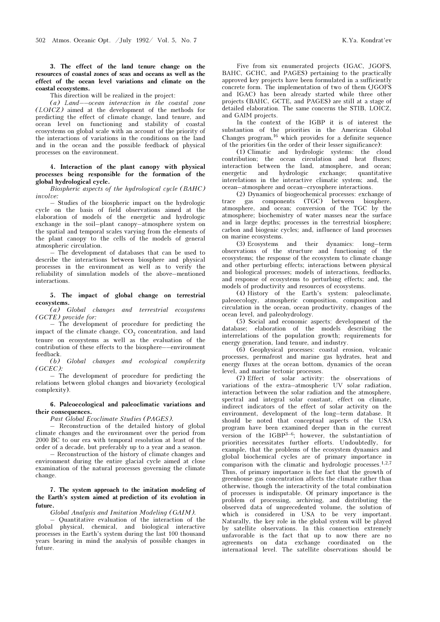3. The effect of the land tenure change on the resources of coastal zones of seas and oceans as well as the effect of the ocean level variations and climate on the coastal ecosystems.

This direction will be realized in the project:

(a) Land––ocean interaction in the coastal zone (LOICZ) aimed at the development of the methods for predicting the effect of climate change, land tenure, and ocean level on functioning and stability of coastal ecosystems on global scale with an account of the priority of the interactions of variations in the conditions on the land and in the ocean and the possible feedback of physical processes on the environment.

## 4. Interaction of the plant canopy with physical processes being responsible for the formation of the global hydrological cycle.

Biospheric aspects of the hydrological cycle (BAHC) involve:

– Studies of the biospheric impact on the hydrologic cycle on the basis of field observations aimed at the elaboration of models of the energetic and hydrologic exchange in the soil–plant canopy–atmosphere system on the spatial and temporal scales varying from the elements of the plant canopy to the cells of the models of general atmospheric circulation.

– The development of databases that can be used to describe the interactions between biosphere and physical processes in the environment as well as to verify the reliability of simulation models of the above–mentioned interactions.

## 5. The impact of global change on terrestrial ecosystems.

(a) Global changes and terrestrial ecosystems (GCTE) provide for:

– The development of procedure for predicting the impact of the climate change,  $CO<sub>2</sub>$  concentration, and land tenure on ecosystems as well as the evaluation of the contribution of these effects to the biosphere––environment feedback.

(b) Global changes and ecological complexity (GCEC):

– The development of procedure for predicting the relations between global changes and biovariety (ecological complexity).

#### 6. Paleoecological and paleoclimatic variations and their consequences.

## Past Global Ecoclimate Studies (PAGES).

– Reconstruction of the detailed history of global climate changes and the environment over the period from 2000 BC to our era with temporal resolution at least of the order of a decade, but preferably up to a year and a season.

– Reconstruction of the history of climate changes and environment during the entire glacial cycle aimed at close examination of the natural processes governing the climate change.

## 7. The system approach to the imitation modeling of the Earth's system aimed at prediction of its evolution in future.

#### Global Analysis and Imitation Modeling (GAIM).

– Quantitative evaluation of the interaction of the global physical, chemical, and biological interactive processes in the Earth's system during the last 100 thousand years bearing in mind the analysis of possible changes in future.

Five from six enumerated projects (IGAC, JGOFS, BAHC, GCHC, and PAGES) pertaining to the practically approved key projects have been formulated in a sufficiently concrete form. The implementation of two of them (JGOFS and IGAC) has been already started while three other projects (BAHC, GCTE, and PAGES) are still at a stage of detailed elaboration. The same concerns the STIB, LOICZ, and GAIM projects.

In the context of the IGBP it is of interest the substantion of the priorities in the American Global Changes program,  $16$  which provides for a definite sequence of the priorities (in the order of their lesser significance):

(1) Climatic and hydrologic systems: the cloud contribution; the ocean circulation and heat fluxes; interaction between the land, atmosphere, and ocean; energetic and hydrologic exchange; quantitative interelations in the interactive climatic system; and, the ocean–atmosphere and ocean–cryosphere interactions.

(2) Dynamics of biogeochemical processes: exchange of trace gas components (TGC) between biosphere, atmosphere, and ocean; conversion of the TGC by the atmosphere; biochemistry of water masses near the surface and in large depths; processes in the terrestrial biosphere; carbon and biogenic cycles; and, influence of land processes on marine ecosystems.

(3) Ecosystems and their dynamics: long–term observations of the structure and functioning of the ecosystems; the response of the ecosystem to climate change and other perturbing effects; interactions between physical and biological processes; models of interactions, feedbacks, and response of ecosystems to perturbing effects; and, the models of productivity and resources of ecosystems.

(4) History of the Earth's system: paleoclimate, paleoecology, atmospheric composition, composition and circulation in the ocean, ocean productivity, changes of the ocean level, and paleohydrology.

(5) Social and economic aspects: development of the database; elaboration of the models describing the interrelations of the population growth; requirements for energy generation, land tenure, and industry.

(6) Geophysical processes: coastal erosion, volcanic processes, permafrost and marine gas hydrates, heat and energy fluxes at the ocean bottom, dynamics of the ocean level, and marine tectonic processes.

(7) Effect of solar activity: the observations of variations of the extra–atmospheric UV solar radiation, interaction between the solar radiation and the atmosphere, spectral and integral solar constant, effect on climate, indirect indicators of the effect of solar activity on the environment, development of the long–term database. It should be noted that conceptual aspects of the USA program have been examined deeper than in the current version of the  $IGBP^{3-6}$ ; however, the substantiation of priorities necessitates further efforts. Undoubtedly, for example, that the problems of the ecosystem dynamics and global biochemical cycles are of primary importance in comparison with the climatic and hydrologic processes.<sup>1,2,7</sup> Thus, of primary importance is the fact that the growth of greenhouse gas concentration affects the climate rather than otherwise, though the interactivity of the total combination of processes is indisputable. Of primary importance is the problem of processing, archiving, and distributing the observed data of unprecedented volume, the solution of which is considered in USA to be very important. Naturally, the key role in the global system will be played by satellite observations. In this connection extremely unfavorable is the fact that up to now there are no agreements on data exchange coordinated on the international level. The satellite observations should be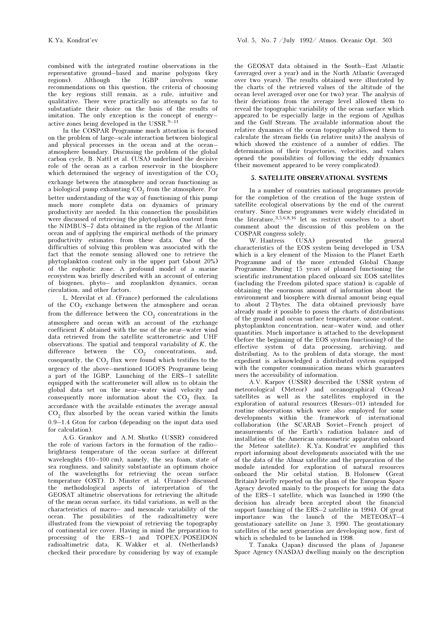combined with the integrated routine observations in the representative ground–based and marine polygons (key regions). Although the IGBP involves some recommendations on this question, the criteria of choosing the key regions still remain, as a rule, intuitive and qualitative. There were practically no attempts so far to substantiate their choice on the basis of the results of imitation. The only exception is the concept of energy– active zones being developed in the USSR. $9-11$ 

In the COSPAR Programme much attention is focused on the problem of large–scale interaction between biological and physical processes in the ocean and at the ocean– atmosphere boundary. Discussing the problem of the global carbon cycle, B. Nattl et al. (USA) underlined the decisive role of the ocean as a carbon reservoir in the biosphere which determined the urgency of investigation of the  $CO<sub>2</sub>$ exchange between the atmosphere and ocean functioning as a biological pump exhausting  $CO_2$  from the atmosphere. For better understanding of the way of functioning of this pump much more complete data on dynamics of primary productivity are needed. In this connection the possibilities were discussed of retrieving the phytoplankton content from the NIMBUS–7 data obtained in the region of the Atlantic ocean and of applying the empirical methods of the primary productivity estimates from these data. One of the difficulties of solving this problem was associated with the fact that the remote sensing allowed one to retrieve the phytoplankton content only in the upper part (about 20%) of the euphotic zone. A profound model of a marine ecosystem was briefly described with an account of entering of biogenes, phyto– and zooplankton dynamics, ocean circulation, and other factors.

L. Mervilat et al. (France) performed the calculations of the  $CO<sub>2</sub>$  exchange between the atmosphere and ocean from the difference between the  $CO_2$  concentrations in the atmosphere and ocean with an account of the exchange coefficient  $K$  obtained with the use of the near–water wind data retrieved from the satellite scatterometric and UHF observations. The spatial and temporal variability of  $K$ , the difference between the  $CO<sub>2</sub><sup>2</sup>$  concentrations, and, cosequently, the  $CO<sub>2</sub>$  flux were found which testifies to the urgency of the above–mentioned IGOFS Programme being a part of the IGBP. Launching of the ERS–1 satellite equipped with the scatterometer will allow us to obtain the global data set on the near–water wind velocity and consequently more information about the  $CO<sub>2</sub>$  flux. In accordance with the available estimates the average annual  $CO<sub>2</sub>$  flux absorbed by the ocean varied within the limits 0.9–1.4 Gton for carbon (depending on the input data used for calculation).

A.G. Grankov and A.M. Shutko (USSR) considered the role of various factors in the formation of the radio– brightness temperature of the ocean surface at different wavelenghts (10–100 cm), namely, the sea foam, state of sea roughness, and salinity substantiate an optimum choice of the wavelengths for retrieving the ocean surface temperature (OST). D. Minster et al. (France) discussed the methodological aspects of interpretation of the GEOSAT altimetric observations for retrieving the altitude of the mean ocean surface, its tidal variations, as well as the characteristics of macro– and mesoscale variability of the ocean. The possibilities of the radioaltimetry were illustrated from the viewpoint of retrieving the topography of continental ice cover. Having in mind the preparation to processing of the ERS-1 and TOPEX/POSEIDON radioaltimetric data, K. Wakker et al. (Netherlands) checked their procedure by considering by way of example the GEOSAT data obtained in the South–East Atlantic (averaged over a year) and in the North Atlantic (averaged over two years). The results obtained were illustrated by the charts of the retrieved values of the altitude of the ocean level averaged over one (or two) year. The analysis of their deviations from the average level allowed them to reveal the topographic variability of the ocean surface which appeared to be especially large in the regions of Agulhas and the Gulf Stream. The available information about the relative dynamics of the ocean topography allowed them to calculate the stream fields (in relative units) the analysis of which showed the existence of a number of eddies. The determination of their trajectories, velocities, and values opened the possibilities of following the eddy dynamics (their movement appeared to be verey complicated).

#### 5. SATELLITE OBSERVATIONAL SYSTEMS

In a number of countries national programmes provide for the completion of the creation of the huge system of satellite ecological observations by the end of the current century. Since these programmes were widely elucidated in the literature,  $3,5,6,8,16$  let us restrict ourselves to a short comment about the discussion of this problem on the

COSPAR congress solely.<br>W. Hantress (USA) W. Hantress (USA) presented the general characteristics of the EOS system being developed in USA which is a key element of the Mission to the Planet Earth Programme and of the more extended Global Change Programme. During 15 years of planned functioning the scientific instrumentation placed onboard six EOS satellites (including the Freedom piloted space station) is capable of obtaining the enormous amount of information about the environment and biosphere with diurnal amount being equal to about 2 Tbytes. The data obtained previously have already made it possible to posess the charts of distributions of the ground and ocean surface temperature, ozone content, phytoplankton concentration, near–water wind, and other quantities. Much importance is attached to the development (before the beginning of the EOS system functioning) of the effective system of data processing, archiving, and distributing. As to the problem of data storage, the most expedient is acknowledged a distributed system equipped with the computer communication means which guarantees users the accessibility of information.

A.V. Karpov (USSR) described the USSR system of meteorological (Meteor) and oceanographical (Ocean) satellites as well as the satellites employed in the exploration of natural resources (Resurs–01) intended for routine observations which were also employed for some developments within the framework of international collaboration (the SCARAB Soviet–French project of measurements of the Earth's radiation balance and of installation of the American ozonometric apparatus onboard the Meteor satellite). K.Ya. Kondrat'ev amplified this report informing about developments associated with the use of the data of the Almaz satellite and the preparation of the module intended for exploration of natural resources onboard the Mir orbital station. B. Holomew (Great Britain) briefly reported on the plans of the European Space Agency devoted mainly to the prospects for using the data of the ERS–1 satellite, which was launched in 1990 (the decision has already been accepted about the financial support launching of the ERS–2 satellite in 1994). Of great importance was the launch of the METEOSAT–4 geostationary satellite on June 3, 1990. The geostationary satellites of the next generation are developing now, first of which is scheduled to be launched in 1998.

T. Tanaka (Japan) discussed the plans of Japanese Space Agency (NASDA) dwelling mainly on the description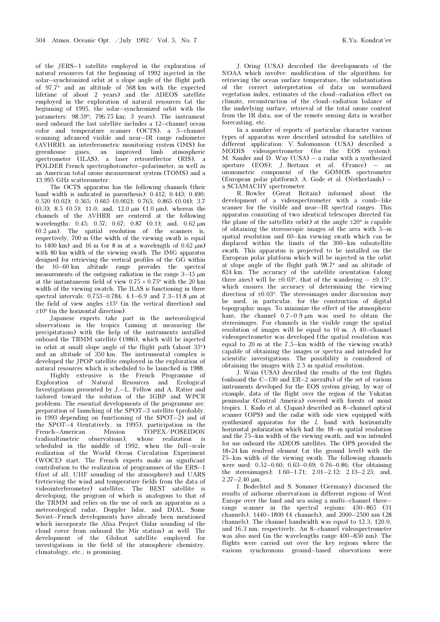of the JERS–1 satellite employed in the exploration of natural resources (at the beginning of 1992 injected in the solar–synchronized orbit at a slope angle of the flight path of 97.7° and an altitude of 568 km with the expected lifetime of about 2 years) and the ADEOS satellite employed in the exploration of natural resources (at the beginning of 1995, the solar–synchronized orbit with the parameters: 98.59°; 796.75 km; 3 years). The instrument used onboard the last satellite includes a 12–channel ocean color and temperature scanner (OCTS), a 5–channel scanning advanced visible and near–IR range radiometer (AVHRR), an interferometric monitoring system (IMS) for greenhouse gases, an improved limb atmospheric spectrometer (ILAS), a laser retroreflector (RIS), a POLDER French spectrophotometer–polarimeter, as well as an American total ozone measurement system (TOMS) and a 13.995 GHz scatterometer.

The OCTS apparatus has the following channels (their band width is indicated in parenthesis): 0.412; 0.443; 0.490; 0.520 (0.02); 0.565; 0.665 (0.002); 0.765; 0.865 (0.04); 3.7 (0.3); 8.5 (0.5); 11.0; and, 12.0  $\mu$ m (1.0  $\mu$ m), whereas the channels of the AVHRR are centered at the following wavelengths: 0.45; 0.57; 0.67; 0.87 (0.1); and, 0.62 μm  $(0.2 \mu m)$ . The spatial resolution of the scanners is, respectively, 700 m (the width of the viewing swath is equal to 1400 km) and 16 m (or 8 m at a wavelength of  $0.62 \mu m$ ) with 80 km width of the viewing swath. The IMG apparatus designed for retrieving the vertical profiles of the GG within the 10–60 km altitude range provides the spectral measurements of the outgoing radiation in the range 3–15 μm at the instantaneous field of view  $0.75 \times 0.75$ ° with the 20 km width of the viewing swatch. The ILAS is functioning in three spectral intervals: 0.753–0.784, 4.1–6.9 and 7.3–11.8 μm at the field of view angles  $\pm 15^{\circ}$  (in the vertical direction) and  $\pm 10^{\circ}$  (in the horizontal direction).

Japanese experts take part in the meteorological observations in the tropics (aiming at measuring the precipitations) with the help of the instruments installed onboard the TRMM satellite (1986), which will be injected in orbit at small slope angle of the flight path (about 35°) and an altitude of 350 km. The instrumental complex is developed the JPOP satellite employed in the exploration of natural resources which is scheduled to be launched in 1988. Highly extensive is the French Programme of Exploration of Natural Resources and Investigations presented by J.–L. Fellow and A. Ratier and tailored toward the solution of the IGBP and WPCR problems. The essential developments of the programme are: preparation of launching of the SPOT–3 satellite (probably, in 1993 depending on functioning of the SPOT–2) and of the SPOT–4 (tentatively, in 1995), participation in the<br>French–American Mission TOPEX/POSEIDON Mission TOPEX/POSEIDON<br>
rvations), whose realization is (radioaltimetric observations), whose realization is scheduled in the middle of 1992, when the full–scale realization of the World Ocean Circulation Experiment (WOCE) start. The French experts make an significant contribution to the realization of programmes of the ERS–1 (first of all, UHF sounding of the atmosphere) and UARS (retrieving the wind and temperature fields from the data of videointerferometer) satellites. The BEST satellite is developing, the program of which is analogous to that of the TRMM and relies on the use of such an apparatus as a meteorological radar, Doppler lidar, and DIAL. Some Soviet–French developments have already been mentioned which incorporate the Alisa Project (lidar sounding of the cloud cover from onboard the Mir station) as well. The development of the Globsat satellite employed for investigations in the field of the atmospheric chemistry, climatology, etc., is promising.

J. Oring (USA) described the developments of the NOAA which involve: modification of the algorithms for retrieving the ocean surface temperature, the substantiation of the correct interpretation of data on normalized vegetation index, estimates of the cloud–radiation effect on climate, reconstruction of the cloud–radiation balance of the underlying surface, retrieval of the total ozone content from the IR data, use of the remote sensing data in weather forecasting, etc.

In a number of reports of particular character various types of apparatus were described intended for satellites of different application: V. Salomonson (USA) described a MODIS videospectrometer (for the EOS system); M. Sander and D. Way (USA) – a radar with a synthesized aperture (EOS); J. Bertaux et al. (France) – an ozonometric component of the GOMOS spectrometer (European polar platform); A. Gode et al. (Netherlands) – a SCIAMACHY spectrometer.

R. Bowler (Great Britain) informed about the development of a videospectrometer with a comb–like scanner for the visible and near–IR spectral ranges. This apparatus consisting of two identical telescopes directed (in the plane of the sattellite orbit) at the angle  $\pm 20^{\circ}$  is capable of obtaining the stereoscopic images of the area with 5–m spatial resolution and 60–km viewing swath which can be displaced within the limits of the 300–km subsatellite swath. This apparatus is projected to be installed on the European polar platform which will be injected in the orbit at slope angle of the flight path 98.7° and an altitude of 824 km. The accuracy of the satellite orientation (along three axes) will be  $\pm 0.03^{\circ}$ , that of the wandering  $- \pm 0.15^{\circ}$ , which ensures the accuracy of determining the viewing direction of  $\pm 0.03^{\circ}$ . The stereoimages under discussion may be used, in particular, for the construction of digital topographic maps. To minimize the effect of the atmospheric haze, the channel 0.7–0.9 μm was used to obtain the stereoimages. For channels in the visible range the spatial resolution of images will be equal to 10 m. A 40–channel videospectrometer was developed (the spatial resolution was equal to 20 m at the 7.5–km width of the viewing swath) capable of obtaining the images or spectra and intended for scientific investigations. The possibility is considered of obtaining the images with 2.5 m spatial resolution.

J. Wain (USA) described the results of the test flights (onboard the C–130 and ER–2 aircrafts) of the set of various instruments developed for the EOS system giving, by way of example, data of the flight over the region of the Yukatan peninsular (Central America) covered with forests of moist tropics. I. Kudo et al. (Japan) described an 8–channel optical scanner (OPS) and the radar with side view equipped with synthesized apparatus for the L band with horizontally horizontal polarization which had the 18–m spatial resolution and the 75–km width of the viewing swath, and was intended for use onboard the ADEOS satellites. The OPS provided the 18×24 km resolved element (at the ground level) with the 75–km width of the viewing swath. The following channels were used: 0.52–0.60; 0.63–0.69; 0.76–0.86; (for obtaining the stereoimages); 1.60–1.71; 2.01–2.12; 2.13–2.25; and, 2.27–2.40 μm.

I. Bodechtel and S. Sommer (Germany) discussed the results of airborne observations in different regions of West Europe over the land and sea using a multi–channel three– range scanner in the spectral regions: 450–865 (31 channels), 1440–1800 (4 channels), and 2000–2500 nm (28 channels). The channel bandwidth was equal to 12.3, 120.0, and 16.3 nm, respectively. An 8–channel videospectrometer was also used (in the wavelengths range 400–850 nm). The flights were carried out over the key regions where the various synchronous ground–based obsevations were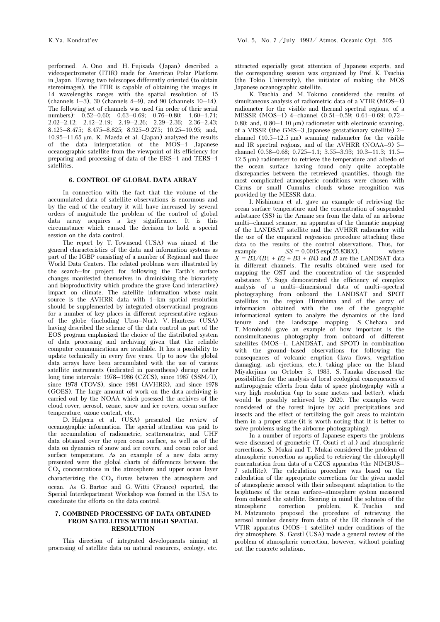performed. A. Ono and H. Fujisada (Japan) described a videospectrometer (ITIR) made for American Polar Platform in Japan. Having two telescopes differently oriented (to obtain stereoimages), the ITIR is capable of obtaining the images in 14 wavelengths ranges with the spatial resolution of 15 (channels 1–3), 30 (channels 4–9), and 90 (channels 10–14). The following set of channels was used (in order of their serial numbers): 0.52–0.60; 0.63–0.69; 0.76–0.80; 1.60–1.71; 2.02–2.12; 2.12–2.19; 2.19–2.26; 2.29–2.36; 2.36–2.43; 8.125–8.475; 8.475–8.825; 8.925–9.275; 10.25–10.95; and, 10.95–11.65 μm. K. Maeda et al. (Japan) analyzed the results of the data interpretation of the MOS–1 Japanese oceanographic satellite from the viewpoint of its efficiency for preparing and processing of data of the ERS–1 and TERS–1 satellites.

## 6. CONTROL OF GLOBAL DATA ARRAY

In connection with the fact that the volume of the accumulated data of satellite observations is enormous and by the end of the century it will have increased by several orders of magnitude the problem of the control of global data array acquires a key significance. It is this circumstance which caused the decision to hold a special session on the data control.

The report by T. Townsend (USA) was aimed at the general characteristics of the data and information systems as part of the IGBP consisting of a number of Regional and three World Data Centers. The related problems were illustrated by the search–for project for following the Earth's surface changes manifested themselves in diminishing the biovariety and bioproductivity which produce the grave (and interactive) impact on climate. The satellite information whose main source is the AVHRR data with 1–km spatial resolution should be supplemented by integrated observational programs for a number of key places in different representative regions of the globe (including Ubsu–Nur). V. Hantress (USA) having described the scheme of the data control as part of the EOS program emphasized the choice of the distributed system of data processing and archiving given that the reliable computer communications are available. It has a possibility to update technically in every five years. Up to now the global data arrays have been accumulated with the use of various satellite instruments (indicated in parenthesis) during rather long time intervals: 1978–1986 (CZCS), since 1987 (SSM/I), since 1978 (TOVS), since 1981 (AVHRR), and since 1978 (GOES). The large amount of work on the data archiving is carried out by the NOAA which posessed the archives of the cloud cover, aerosol, ozone, snow and ice covers, ocean surface temperature, ozone content, etc.

D. Halpern et al. (USA) presented the review of oceanographic information. The special attention was paid to the accumulation of radiometric, scatterometric, and UHF data obtained over the open ocean surface, as well as of the data on dynamics of snow and ice covers, and ocean color and surface temperature. As an example of a new data array presented were the global charts of differences between the  $CO<sub>2</sub>$  concentrations in the atmosphere and upper ocean layer characterizing the  $CO<sub>2</sub>$  fluxes between the atmosphere and ocean. As G. Bartoc and G. Witti (France) reported, the Special Interdepartment Workshop was formed in the USA to coordinate the efforts on the data control.

## 7. COMBINED PROCESSING OF DATA OBTAINED FROM SATELLITES WITH HIGH SPATIAL RESOLUTION

This direction of integrated developments aiming at processing of satellite data on natural resources, ecology, etc. attracted especially great attention of Japanese experts, and the corresponding session was organized by Prof. K. Tsuchia (the Tokio University), the initiator of making the MOS Japanese oceanographic satellite.

K. Tsuchia and M. Tokuno considered the results of simultaneous analysis of radiometric data of a VTIR (MOS–1) radiometer for the visible and thermal spectral regions, of a MESSR (MOS–1) 4–channel (0.51–0.59; 0.61–0.69; 0.72– 0.80; and,  $0.80-1.10 \mu m$ ) radiometer with electronic scanning, of a VISSR (the GMS–3 Japanese geostationary satellite) 2– channel  $(10.5-12.5 \mu m)$  scanning radiometer for the visible and IR spectral regions, and of the AVHRR (NOAA–9) 5– channel (0.58–0.68; 0.725–1.1; 3.55–3.93; 10.3–11.3; 11.5– 12.5 μm) radiometer to retrieve the temperature and albedo of the ocean surface having found only quite acceptable discrepancies between the retreieved quantities, though the most complicated atmospheric conditions were chosen with Cirrus or small Cumulus clouds whose recognition was provided by the MESSR data.

I. Nishimura et al. gave an example of retrieving the ocean surface temperature and the concentration of suspended substance (SS) in the Arnane sea from the data of an airborne multi–channel scanner, an apparatus of the thematic mapping of the LANDSAT satellite and the AVHRR radiometer with the use of the empirical regression procedure attaching these data to the results of the control observations. Thus, for example  $SS = 0.0015 \exp(55.838X)$ , where  $X = \overline{B}3/(B1 + B2 + B3 + B4)$  and B are the LANDSAT data in different channels. The results obtained were used for mapping the OST and the concentration of the suspended substance. Y. Suga demonstrated the efficiency of complex analysis of a multi–dimensional data of multi–spectral photographing from onboard the LANDSAT and SPOT satellites in the region Hiroshima and of the array of information obtained with the use of the geographic informational system to analyze the dynamics of the land tenure and the landscape mapping. S. Chehara and T. Morohoshi gave an example of how important is the nonsimultaneous photography from onboard of different satellites (MOS–1, LANDSAT, and SPOT) in combination with the ground–based observations for following the consequences of volcanic eruption (lava flows, vegetation damaging, ash ejections, etc.), taking place on the Island Miyakejima on October 3, 1983. S. Tanaka discussed the possibilities for the analysis of local ecological consequences of anthropogenic effects from data of space photography with a very high resolution (up to some meters and better), which would be possibly achieved by 2020. The examples were considered of the forest injure by acid precipitations and insects and the effect of fertilizing the golf areas to maintain them in a proper state (it is worth noting that it is better to solve problems using the airborne photographing).

In a number of reports of Japanese experts the problems were discussed of geometric (T. Osuti et al.) and atmospheric corrections. S. Mukai and T. Mukai considered the problem of atmospheric correction as applied to retrieving the chlorophyll concentration from data of a CZCS apparatus (the NIMBUS– 7 satellite). The calculation procedure was based on the calculation of the appropriate corrections for the given model of atmospheric aerosol with their subsequent adaptation to the brightness of the ocean surface–atmosphere system measured from onboard the satellite. Bearing in mind the solution of the atmospheric correction problem, K. Tsuchia and atmospheric correction problem, K. Tsuchia and M. Matzumoto proposed the procedure of retrieving the aerosol number density from data of the IR channels of the VTIR apparatus (MOS–1 satellite) under conditions of the dry atmosphere. S. Garstl (USA) made a general review of the problem of atmospheric correction, however, without pointing out the concrete solutions.